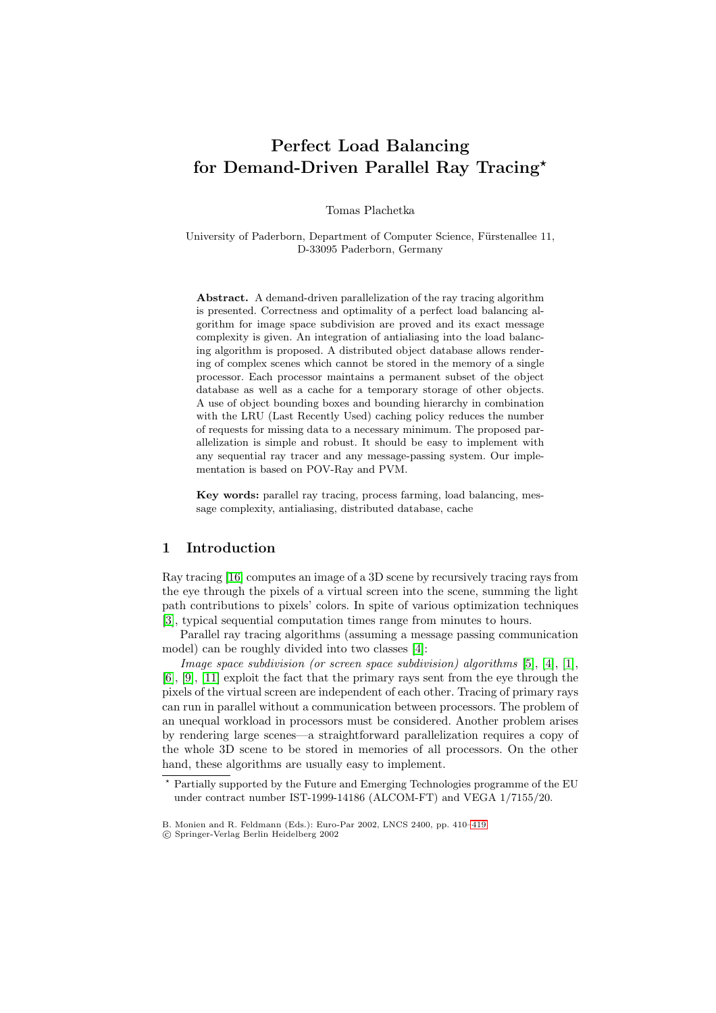# **Perfect Load Balancing for Demand-Driven Parallel Ray Tracing**

Tomas Plachetka

University of Paderborn, Department of Computer Science, Fürstenallee 11, D-33095 Paderborn, Germany

**Abstract.** A demand-driven parallelization of the ray tracing algorithm is presented. Correctness and optimality of a perfect load balancing algorithm for image space subdivision are proved and its exact message complexity is given. An integration of antialiasing into the load balancing algorithm is proposed. A distributed object database allows rendering of complex scenes which cannot be stored in the memory of a single processor. Each processor maintains a permanent subset of the object database as well as a cache for a temporary storage of other objects. A use of object bounding boxes and bounding hierarchy in combination with the LRU (Last Recently Used) caching policy reduces the number of requests for missing data to a necessary minimum. The proposed parallelization is simple and robust. It should be easy to implement with any sequential ray tracer and any message-passing system. Our implementation is based on POV-Ray and PVM.

**Key words:** parallel ray tracing, process farming, load balancing, message complexity, antialiasing, distributed database, cache

### **1 Introduction**

Ray tracing [\[16\]](#page-9-0) computes an image of a 3D scene by recursively tracing rays from the eye through the pixels of a virtual screen into the scene, summing the light path contributions to pixels'colors. In spite of various optimization techniques [\[3\]](#page-9-0), typical sequential computation times range from minutes to hours.

Parallel ray tracing algorithms (assuming a message passing communication model) can be roughly divided into two classes [\[4\]](#page-9-0):

*Image space subdivision (or screen space subdivision) algorithms* [\[5\]](#page-9-0), [\[4\]](#page-9-0), [\[1\]](#page-9-0), [\[6\]](#page-9-0), [\[9\]](#page-9-0), [\[11\]](#page-9-0) exploit the fact that the primary rays sent from the eye through the pixels of the virtual screen are independent of each other. Tracing of primary rays can run in parallel without a communication between processors. The problem of an unequal workload in processors must be considered. Another problem arises by rendering large scenes—a straightforward parallelization requires a copy of the whole 3D scene to be stored in memories of all processors. On the other hand, these algorithms are usually easy to implement.

Partially supported by the Future and Emerging Technologies programme of the EU under contract number IST-1999-14186 (ALCOM-FT) and VEGA 1/7155/20.

B. Monien and R. Feldmann (Eds.): Euro-Par 2002, LNCS 2400, pp. 410[–419.](#page-9-0)

c Springer-Verlag Berlin Heidelberg 2002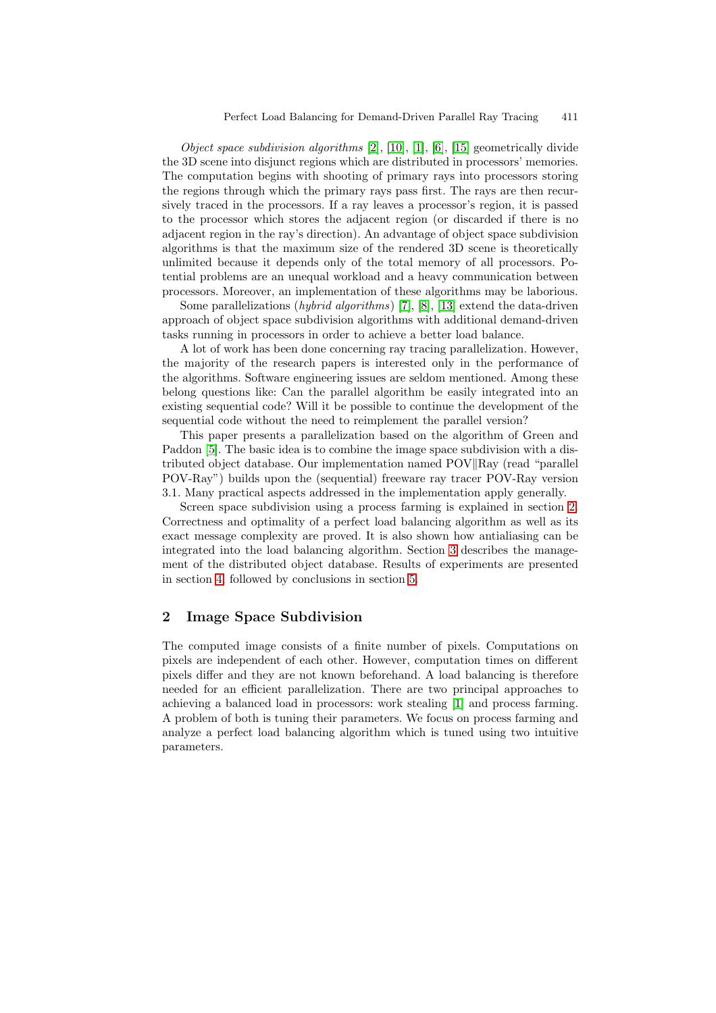<span id="page-1-0"></span>Object space subdivision algorithms [\[2\]](#page-9-0), [\[10\]](#page-9-0), [\[1\]](#page-9-0), [\[6\]](#page-9-0), [\[15\]](#page-9-0) geometrically divide the 3D scene into disjunct regions which are distributed in processors'memories. The computation begins with shooting of primary rays into processors storing the regions through which the primary rays pass first. The rays are then recursively traced in the processors. If a ray leaves a processor's region, it is passed to the processor which stores the adjacent region (or discarded if there is no adjacent region in the ray's direction). An advantage of object space subdivision algorithms is that the maximum size of the rendered 3D scene is theoretically unlimited because it depends only of the total memory of all processors. Potential problems are an unequal workload and a heavy communication between processors. Moreover, an implementation of these algorithms may be laborious.

Some parallelizations (hybrid algorithms) [\[7\]](#page-9-0), [\[8\]](#page-9-0), [\[13\]](#page-9-0) extend the data-driven approach of object space subdivision algorithms with additional demand-driven tasks running in processors in order to achieve a better load balance.

A lot of work has been done concerning ray tracing parallelization. However, the majority of the research papers is interested only in the performance of the algorithms. Software engineering issues are seldom mentioned. Among these belong questions like: Can the parallel algorithm be easily integrated into an existing sequential code? Will it be possible to continue the development of the sequential code without the need to reimplement the parallel version?

This paper presents a parallelization based on the algorithm of Green and Paddon [\[5\]](#page-9-0). The basic idea is to combine the image space subdivision with a distributed object database. Our implementation named  $POV$  $\parallel$ Ray (read "parallel POV-Ray") builds upon the (sequential) freeware ray tracer POV-Ray version 3.1. Many practical aspects addressed in the implementation apply generally.

Screen space subdivision using a process farming is explained in section 2. Correctness and optimality of a perfect load balancing algorithm as well as its exact message complexity are proved. It is also shown how antialiasing can be integrated into the load balancing algorithm. Section [3](#page-6-0) describes the management of the distributed object database. Results of experiments are presented in section [4,](#page-7-0) followed by conclusions in section [5.](#page-8-0)

## **2 Image Space Subdivision**

The computed image consists of a finite number of pixels. Computations on pixels are independent of each other. However, computation times on different pixels differ and they are not known beforehand. A load balancing is therefore needed for an efficient parallelization. There are two principal approaches to achieving a balanced load in processors: work stealing [\[1\]](#page-9-0) and process farming. A problem of both is tuning their parameters. We focus on process farming and analyze a perfect load balancing algorithm which is tuned using two intuitive parameters.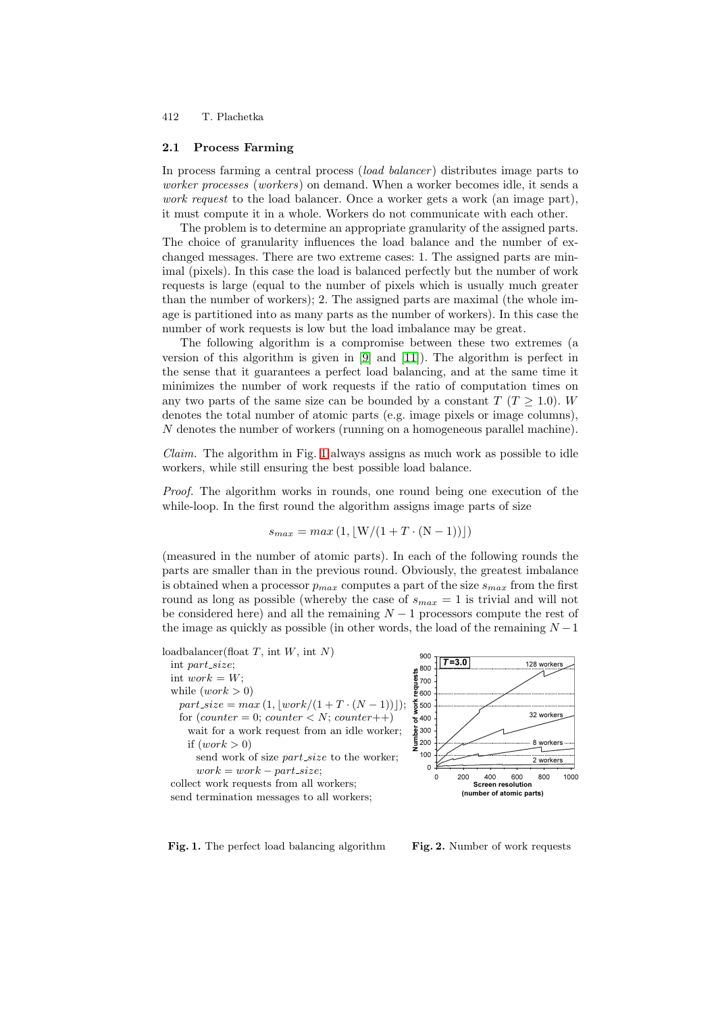#### <span id="page-2-0"></span>**2.1 Process Farming**

In process farming a central process (load balancer) distributes image parts to worker processes (workers) on demand. When a worker becomes idle, it sends a work request to the load balancer. Once a worker gets a work (an image part), it must compute it in a whole. Workers do not communicate with each other.

The problem is to determine an appropriate granularity of the assigned parts. The choice of granularity influences the load balance and the number of exchanged messages. There are two extreme cases: 1. The assigned parts are minimal (pixels). In this case the load is balanced perfectly but the number of work requests is large (equal to the number of pixels which is usually much greater than the number of workers); 2. The assigned parts are maximal (the whole image is partitioned into as many parts as the number of workers). In this case the number of work requests is low but the load imbalance may be great.

The following algorithm is a compromise between these two extremes (a version of this algorithm is given in [\[9\]](#page-9-0) and [\[11\]](#page-9-0)). The algorithm is perfect in the sense that it guarantees a perfect load balancing, and at the same time it minimizes the number of work requests if the ratio of computation times on any two parts of the same size can be bounded by a constant  $T$  ( $T \geq 1.0$ ). W denotes the total number of atomic parts (e.g. image pixels or image columns), N denotes the number of workers (running on a homogeneous parallel machine).

*Claim.* The algorithm in Fig. 1 always assigns as much work as possible to idle workers, while still ensuring the best possible load balance.

Proof. The algorithm works in rounds, one round being one execution of the while-loop. In the first round the algorithm assigns image parts of size

$$
s_{max} = max(1, \lfloor W/(1 + T \cdot (N - 1)) \rfloor)
$$

(measured in the number of atomic parts). In each of the following rounds the parts are smaller than in the previous round. Obviously, the greatest imbalance is obtained when a processor  $p_{max}$  computes a part of the size  $s_{max}$  from the first round as long as possible (whereby the case of  $s_{max} = 1$  is trivial and will not be considered here) and all the remaining  $N-1$  processors compute the rest of the image as quickly as possible (in other words, the load of the remaining  $N-1$ 

```
loadbalancer(float T, int W, int N)
int part_size;
int work = W;
while (word > 0)part\_size = max (1, |work/(1 + T \cdot (N - 1))|);for (counter = 0; counter < N; counter++)wait for a work request from an idle worker;
    if (word > 0)send work of size part_size to the worker;
     work = work - part_size;collect work requests from all workers;
```
send termination messages to all workers;

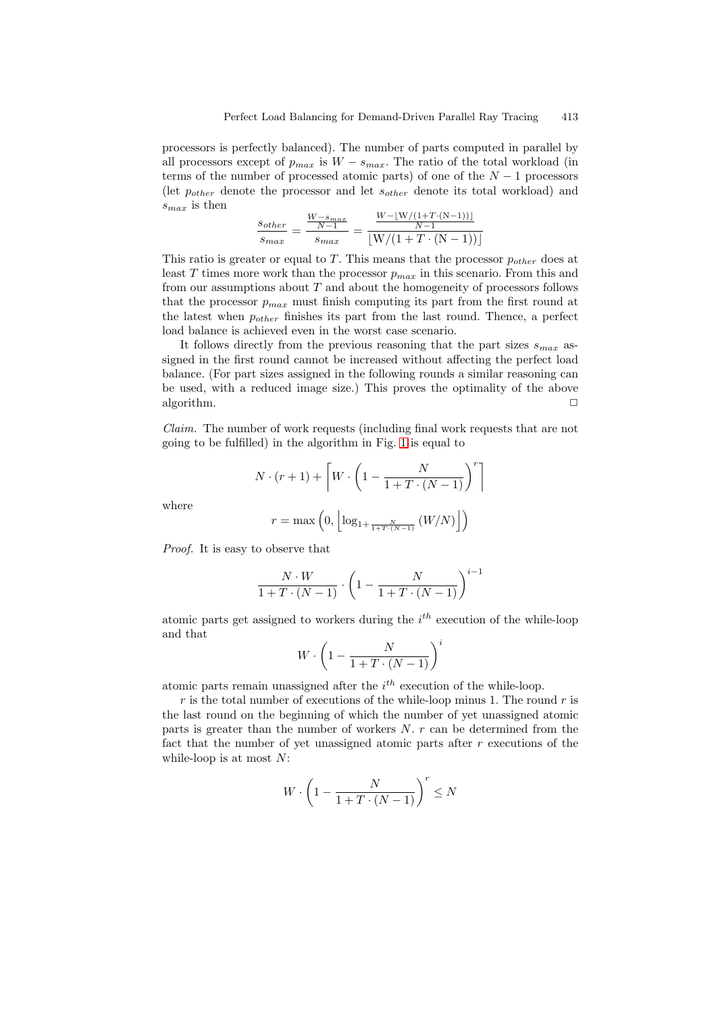processors is perfectly balanced). The number of parts computed in parallel by all processors except of  $p_{max}$  is  $W - s_{max}$ . The ratio of the total workload (in terms of the number of processed atomic parts) of one of the  $N-1$  processors (let  $p_{other}$  denote the processor and let  $s_{other}$  denote its total workload) and  $s_{max}$  is then

$$
\frac{s_{other}}{s_{max}} = \frac{\frac{W - s_{max}}{N - 1}}{s_{max}} = \frac{\frac{W - [W/(1 + T \cdot (N - 1))]}{N - 1}}{[W/(1 + T \cdot (N - 1))]}
$$

This ratio is greater or equal to T. This means that the processor  $p_{other}$  does at least T times more work than the processor  $p_{max}$  in this scenario. From this and from our assumptions about  $T$  and about the homogeneity of processors follows that the processor  $p_{max}$  must finish computing its part from the first round at the latest when  $p_{other}$  finishes its part from the last round. Thence, a perfect load balance is achieved even in the worst case scenario.

It follows directly from the previous reasoning that the part sizes  $s_{max}$  assigned in the first round cannot be increased without affecting the perfect load balance. (For part sizes assigned in the following rounds a similar reasoning can be used, with a reduced image size.) This proves the optimality of the above algorithm.  $\Box$ 

Claim. The number of work requests (including final work requests that are not going to be fulfilled) in the algorithm in Fig. [1](#page-2-0) is equal to

$$
N \cdot (r+1) + \left\lceil W \cdot \left(1 - \frac{N}{1 + T \cdot (N-1)}\right)^r \right\rceil
$$

where

$$
r = \max\left(0, \left\lfloor \log_{1+\frac{N}{1+T\cdot (N-1)}}\left(W/N\right) \right\rfloor\right)
$$

Proof. It is easy to observe that

$$
\frac{N \cdot W}{1 + T \cdot (N-1)} \cdot \left(1 - \frac{N}{1 + T \cdot (N-1)}\right)^{i-1}
$$

atomic parts get assigned to workers during the  $i^{th}$  execution of the while-loop and that

$$
W \cdot \left(1 - \frac{N}{1 + T \cdot (N - 1)}\right)^i
$$

atomic parts remain unassigned after the  $i<sup>th</sup>$  execution of the while-loop.

r is the total number of executions of the while-loop minus 1. The round r is the last round on the beginning of which the number of yet unassigned atomic parts is greater than the number of workers  $N$ .  $r$  can be determined from the fact that the number of yet unassigned atomic parts after r executions of the while-loop is at most  $N$ :

$$
W \cdot \left(1 - \frac{N}{1 + T \cdot (N - 1)}\right)^r \le N
$$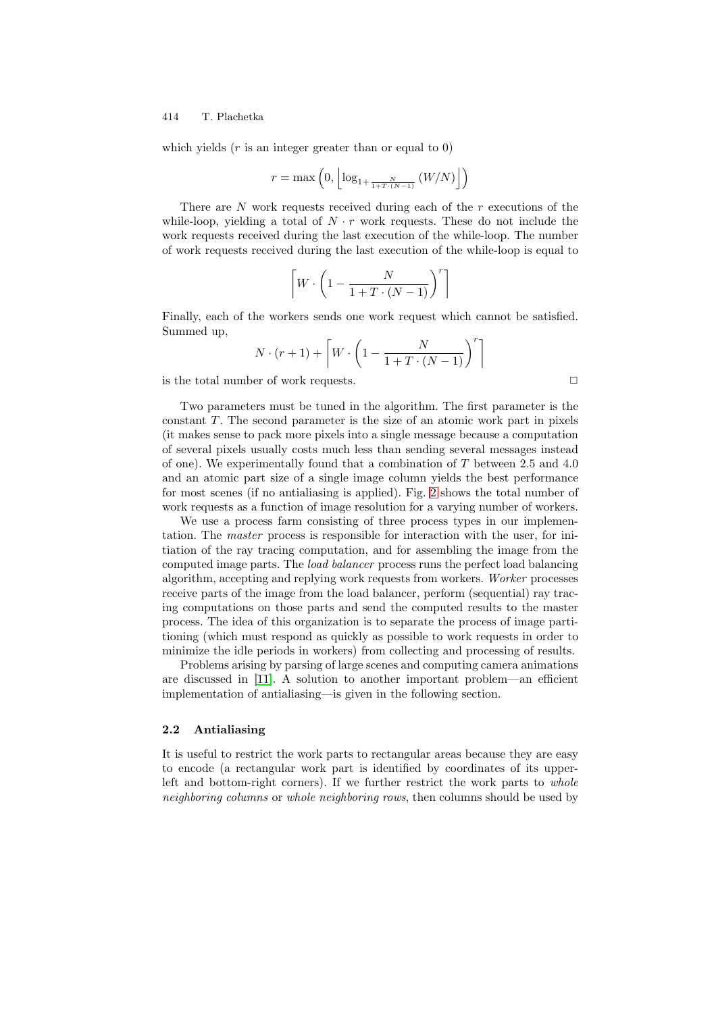which yields  $(r \text{ is an integer greater than or equal to } 0)$ 

$$
r = \max\left(0, \left\lfloor \log_{1+\frac{N}{1+T\cdot (N-1)}}\left(W/N\right) \right\rfloor\right)
$$

There are  $N$  work requests received during each of the  $r$  executions of the while-loop, yielding a total of  $N \cdot r$  work requests. These do not include the work requests received during the last execution of the while-loop. The number of work requests received during the last execution of the while-loop is equal to

$$
\left\lceil W \cdot \left(1 - \frac{N}{1+T \cdot (N-1)} \right)^r \right\rceil
$$

Finally, each of the workers sends one work request which cannot be satisfied. Summed up,

$$
N \cdot (r+1) + \left\lceil W \cdot \left(1 - \frac{N}{1 + T \cdot (N-1)}\right)^r \right\rceil
$$

is the total number of work requests.  $\Box$ 

Two parameters must be tuned in the algorithm. The first parameter is the constant T. The second parameter is the size of an atomic work part in pixels (it makes sense to pack more pixels into a single message because a computation of several pixels usually costs much less than sending several messages instead of one). We experimentally found that a combination of T between 2.5 and 4.0 and an atomic part size of a single image column yields the best performance for most scenes (if no antialiasing is applied). Fig. [2](#page-2-0) shows the total number of work requests as a function of image resolution for a varying number of workers.

We use a process farm consisting of three process types in our implementation. The master process is responsible for interaction with the user, for initiation of the ray tracing computation, and for assembling the image from the computed image parts. The load balancer process runs the perfect load balancing algorithm, accepting and replying work requests from workers. Worker processes receive parts of the image from the load balancer, perform (sequential) ray tracing computations on those parts and send the computed results to the master process. The idea of this organization is to separate the process of image partitioning (which must respond as quickly as possible to work requests in order to minimize the idle periods in workers) from collecting and processing of results.

Problems arising by parsing of large scenes and computing camera animations are discussed in [\[11\]](#page-9-0). A solution to another important problem—an efficient implementation of antialiasing—is given in the following section.

#### **2.2 Antialiasing**

It is useful to restrict the work parts to rectangular areas because they are easy to encode (a rectangular work part is identified by coordinates of its upperleft and bottom-right corners). If we further restrict the work parts to whole neighboring columns or whole neighboring rows, then columns should be used by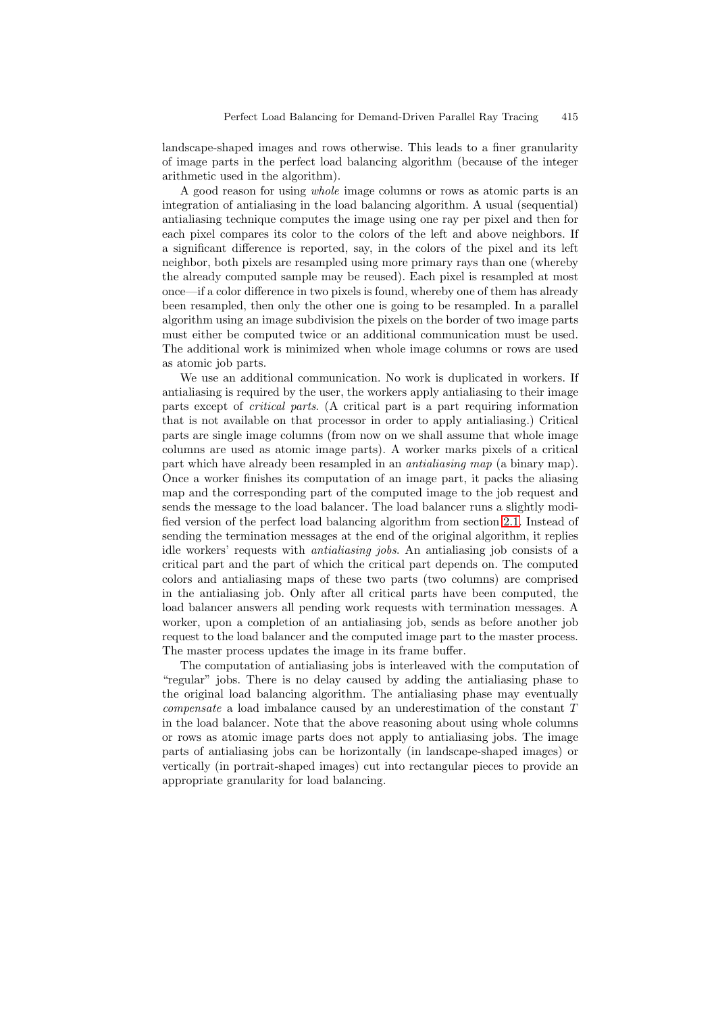landscape-shaped images and rows otherwise. This leads to a finer granularity of image parts in the perfect load balancing algorithm (because of the integer arithmetic used in the algorithm).

A good reason for using whole image columns or rows as atomic parts is an integration of antialiasing in the load balancing algorithm. A usual (sequential) antialiasing technique computes the image using one ray per pixel and then for each pixel compares its color to the colors of the left and above neighbors. If a significant difference is reported, say, in the colors of the pixel and its left neighbor, both pixels are resampled using more primary rays than one (whereby the already computed sample may be reused). Each pixel is resampled at most once—if a color difference in two pixels is found, whereby one of them has already been resampled, then only the other one is going to be resampled. In a parallel algorithm using an image subdivision the pixels on the border of two image parts must either be computed twice or an additional communication must be used. The additional work is minimized when whole image columns or rows are used as atomic job parts.

We use an additional communication. No work is duplicated in workers. If antialiasing is required by the user, the workers apply antialiasing to their image parts except of critical parts. (A critical part is a part requiring information that is not available on that processor in order to apply antialiasing.) Critical parts are single image columns (from now on we shall assume that whole image columns are used as atomic image parts). A worker marks pixels of a critical part which have already been resampled in an antialiasing map (a binary map). Once a worker finishes its computation of an image part, it packs the aliasing map and the corresponding part of the computed image to the job request and sends the message to the load balancer. The load balancer runs a slightly modified version of the perfect load balancing algorithm from section [2.1.](#page-1-0) Instead of sending the termination messages at the end of the original algorithm, it replies idle workers' requests with *antialiasing jobs*. An antialiasing job consists of a critical part and the part of which the critical part depends on. The computed colors and antialiasing maps of these two parts (two columns) are comprised in the antialiasing job. Only after all critical parts have been computed, the load balancer answers all pending work requests with termination messages. A worker, upon a completion of an antialiasing job, sends as before another job request to the load balancer and the computed image part to the master process. The master process updates the image in its frame buffer.

The computation of antialiasing jobs is interleaved with the computation of "regular" jobs. There is no delay caused by adding the antialiasing phase to the original load balancing algorithm. The antialiasing phase may eventually compensate a load imbalance caused by an underestimation of the constant T in the load balancer. Note that the above reasoning about using whole columns or rows as atomic image parts does not apply to antialiasing jobs. The image parts of antialiasing jobs can be horizontally (in landscape-shaped images) or vertically (in portrait-shaped images) cut into rectangular pieces to provide an appropriate granularity for load balancing.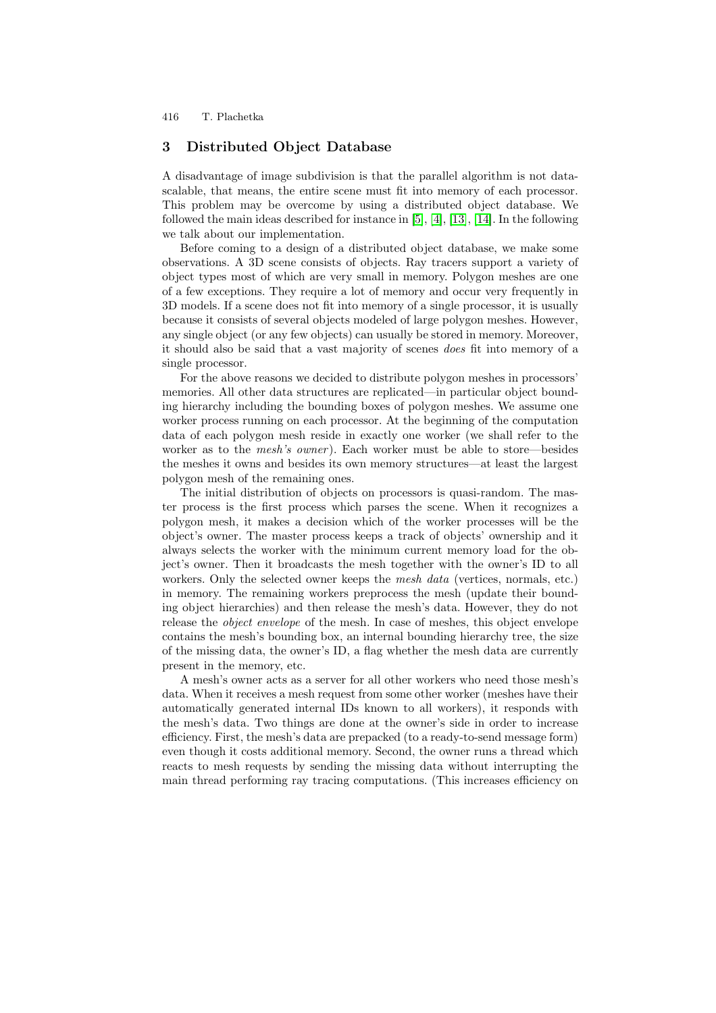## <span id="page-6-0"></span>**3 Distributed Object Database**

A disadvantage of image subdivision is that the parallel algorithm is not datascalable, that means, the entire scene must fit into memory of each processor. This problem may be overcome by using a distributed object database. We followed the main ideas described for instance in [\[5\]](#page-9-0), [\[4\]](#page-9-0), [\[13\]](#page-9-0), [\[14\]](#page-9-0). In the following we talk about our implementation.

Before coming to a design of a distributed object database, we make some observations. A 3D scene consists of objects. Ray tracers support a variety of object types most of which are very small in memory. Polygon meshes are one of a few exceptions. They require a lot of memory and occur very frequently in 3D models. If a scene does not fit into memory of a single processor, it is usually because it consists of several objects modeled of large polygon meshes. However, any single object (or any few objects) can usually be stored in memory. Moreover, it should also be said that a vast majority of scenes does fit into memory of a single processor.

For the above reasons we decided to distribute polygon meshes in processors' memories. All other data structures are replicated—in particular object bounding hierarchy including the bounding boxes of polygon meshes. We assume one worker process running on each processor. At the beginning of the computation data of each polygon mesh reside in exactly one worker (we shall refer to the worker as to the *mesh's owner*). Each worker must be able to store—besides the meshes it owns and besides its own memory structures—at least the largest polygon mesh of the remaining ones.

The initial distribution of objects on processors is quasi-random. The master process is the first process which parses the scene. When it recognizes a polygon mesh, it makes a decision which of the worker processes will be the object's owner. The master process keeps a track of objects' ownership and it always selects the worker with the minimum current memory load for the object's owner. Then it broadcasts the mesh together with the owner's ID to all workers. Only the selected owner keeps the *mesh data* (vertices, normals, etc.) in memory. The remaining workers preprocess the mesh (update their bounding object hierarchies) and then release the mesh's data. However, they do not release the object envelope of the mesh. In case of meshes, this object envelope contains the mesh's bounding box, an internal bounding hierarchy tree, the size of the missing data, the owner's ID, a flag whether the mesh data are currently present in the memory, etc.

A mesh's owner acts as a server for all other workers who need those mesh's data. When it receives a mesh request from some other worker (meshes have their automatically generated internal IDs known to all workers), it responds with the mesh's data. Two things are done at the owner's side in order to increase efficiency. First, the mesh's data are prepacked (to a ready-to-send message form) even though it costs additional memory. Second, the owner runs a thread which reacts to mesh requests by sending the missing data without interrupting the main thread performing ray tracing computations. (This increases efficiency on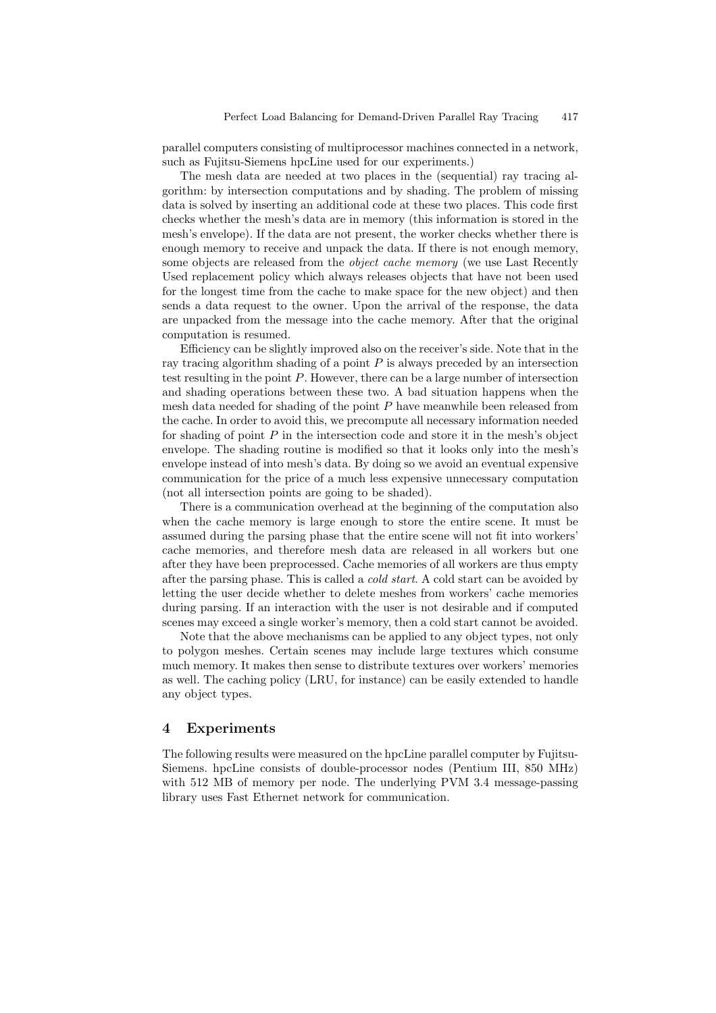<span id="page-7-0"></span>parallel computers consisting of multiprocessor machines connected in a network, such as Fujitsu-Siemens hpcLine used for our experiments.)

The mesh data are needed at two places in the (sequential) ray tracing algorithm: by intersection computations and by shading. The problem of missing data is solved by inserting an additional code at these two places. This code first checks whether the mesh's data are in memory (this information is stored in the mesh's envelope). If the data are not present, the worker checks whether there is enough memory to receive and unpack the data. If there is not enough memory, some objects are released from the *object cache memory* (we use Last Recently Used replacement policy which always releases objects that have not been used for the longest time from the cache to make space for the new object) and then sends a data request to the owner. Upon the arrival of the response, the data are unpacked from the message into the cache memory. After that the original computation is resumed.

Efficiency can be slightly improved also on the receiver's side. Note that in the ray tracing algorithm shading of a point  $P$  is always preceded by an intersection test resulting in the point P. However, there can be a large number of intersection and shading operations between these two. A bad situation happens when the mesh data needed for shading of the point  $P$  have meanwhile been released from the cache. In order to avoid this, we precompute all necessary information needed for shading of point  $P$  in the intersection code and store it in the mesh's object envelope. The shading routine is modified so that it looks only into the mesh's envelope instead of into mesh's data. By doing so we avoid an eventual expensive communication for the price of a much less expensive unnecessary computation (not all intersection points are going to be shaded).

There is a communication overhead at the beginning of the computation also when the cache memory is large enough to store the entire scene. It must be assumed during the parsing phase that the entire scene will not fit into workers' cache memories, and therefore mesh data are released in all workers but one after they have been preprocessed. Cache memories of all workers are thus empty after the parsing phase. This is called a cold start. A cold start can be avoided by letting the user decide whether to delete meshes from workers'cache memories during parsing. If an interaction with the user is not desirable and if computed scenes may exceed a single worker's memory, then a cold start cannot be avoided.

Note that the above mechanisms can be applied to any object types, not only to polygon meshes. Certain scenes may include large textures which consume much memory. It makes then sense to distribute textures over workers'memories as well. The caching policy (LRU, for instance) can be easily extended to handle any object types.

#### **4 Experiments**

The following results were measured on the hpcLine parallel computer by Fujitsu-Siemens. hpcLine consists of double-processor nodes (Pentium III, 850 MHz) with 512 MB of memory per node. The underlying PVM 3.4 message-passing library uses Fast Ethernet network for communication.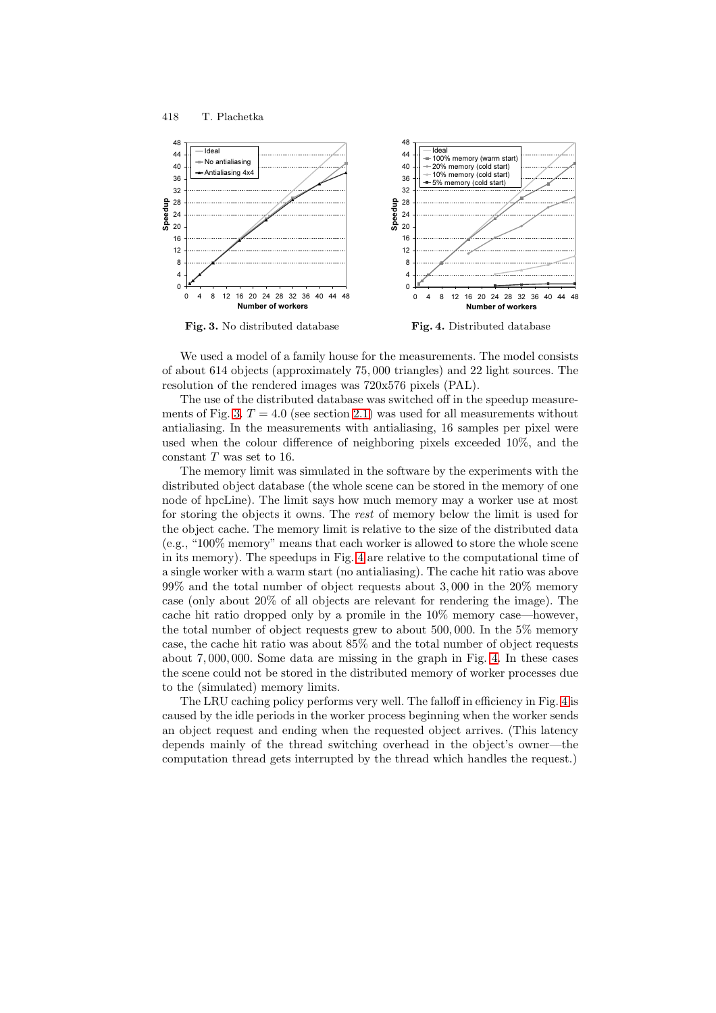<span id="page-8-0"></span>



We used a model of a family house for the measurements. The model consists of about 614 objects (approximately 75, 000 triangles) and 22 light sources. The resolution of the rendered images was 720x576 pixels (PAL).

The use of the distributed database was switched off in the speedup measurements of Fig. 3.  $T = 4.0$  (see section [2.1\)](#page-1-0) was used for all measurements without antialiasing. In the measurements with antialiasing, 16 samples per pixel were used when the colour difference of neighboring pixels exceeded 10%, and the constant  $T$  was set to 16.

The memory limit was simulated in the software by the experiments with the distributed object database (the whole scene can be stored in the memory of one node of hpcLine). The limit says how much memory may a worker use at most for storing the objects it owns. The rest of memory below the limit is used for the object cache. The memory limit is relative to the size of the distributed data (e.g., "100% memory" means that each worker is allowed to store the whole scene in its memory). The speedups in Fig. 4 are relative to the computational time of a single worker with a warm start (no antialiasing). The cache hit ratio was above 99% and the total number of object requests about 3, 000 in the 20% memory case (only about 20% of all objects are relevant for rendering the image). The cache hit ratio dropped only by a promile in the 10% memory case—however, the total number of object requests grew to about 500, 000. In the 5% memory case, the cache hit ratio was about 85% and the total number of object requests about 7, 000, 000. Some data are missing in the graph in Fig. 4. In these cases the scene could not be stored in the distributed memory of worker processes due to the (simulated) memory limits.

The LRU caching policy performs very well. The falloff in efficiency in Fig. 4 is caused by the idle periods in the worker process beginning when the worker sends an object request and ending when the requested object arrives. (This latency depends mainly of the thread switching overhead in the object's owner—the computation thread gets interrupted by the thread which handles the request.)